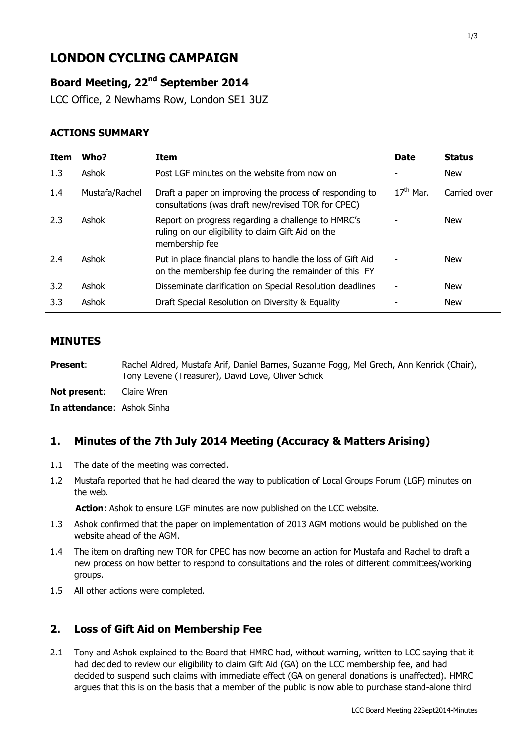# **LONDON CYCLING CAMPAIGN**

## **Board Meeting, 22nd September 2014**

LCC Office, 2 Newhams Row, London SE1 3UZ

#### **ACTIONS SUMMARY**

| <b>Item</b> | Who?           | Item                                                                                                                       | <b>Date</b> | <b>Status</b> |
|-------------|----------------|----------------------------------------------------------------------------------------------------------------------------|-------------|---------------|
| 1.3         | Ashok          | Post LGF minutes on the website from now on                                                                                |             | <b>New</b>    |
| 1.4         | Mustafa/Rachel | Draft a paper on improving the process of responding to<br>consultations (was draft new/revised TOR for CPEC)              | $17th$ Mar. | Carried over  |
| 2.3         | Ashok          | Report on progress regarding a challenge to HMRC's<br>ruling on our eligibility to claim Gift Aid on the<br>membership fee |             | New           |
| 2.4         | Ashok          | Put in place financial plans to handle the loss of Gift Aid<br>on the membership fee during the remainder of this FY       |             | <b>New</b>    |
| 3.2         | Ashok          | Disseminate clarification on Special Resolution deadlines                                                                  |             | New           |
| 3.3         | Ashok          | Draft Special Resolution on Diversity & Equality                                                                           |             | <b>New</b>    |

#### **MINUTES**

**Present**: Rachel Aldred, Mustafa Arif, Daniel Barnes, Suzanne Fogg, Mel Grech, Ann Kenrick (Chair), Tony Levene (Treasurer), David Love, Oliver Schick

**Not present**: Claire Wren

**In attendance**: Ashok Sinha

#### **1. Minutes of the 7th July 2014 Meeting (Accuracy & Matters Arising)**

- 1.1 The date of the meeting was corrected.
- 1.2 Mustafa reported that he had cleared the way to publication of Local Groups Forum (LGF) minutes on the web.

**Action**: Ashok to ensure LGF minutes are now published on the LCC website.

- 1.3 Ashok confirmed that the paper on implementation of 2013 AGM motions would be published on the website ahead of the AGM.
- 1.4 The item on drafting new TOR for CPEC has now become an action for Mustafa and Rachel to draft a new process on how better to respond to consultations and the roles of different committees/working groups.
- 1.5 All other actions were completed.

#### **2. Loss of Gift Aid on Membership Fee**

2.1 Tony and Ashok explained to the Board that HMRC had, without warning, written to LCC saying that it had decided to review our eligibility to claim Gift Aid (GA) on the LCC membership fee, and had decided to suspend such claims with immediate effect (GA on general donations is unaffected). HMRC argues that this is on the basis that a member of the public is now able to purchase stand-alone third